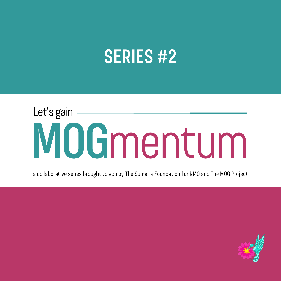### SERIES #2

# MOGmentum Let's gain

a collaborative series brought to you by The Sumaira Foundation for NMO and The MOG Project

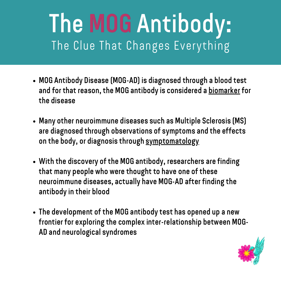## The MOG Antibody: The Clue That Changes Everything

- MOG Antibody Disease (MOG-AD) is diagnosed through a blood test and for that reason, the MOG antibody is considered a biomarker for the disease
- Many other neuroimmune diseases such as Multiple Sclerosis (MS) are diagnosed through observations of symptoms and the effects on the body, or diagnosis through symptomatology
- With the discovery of the MOG antibody, researchers are finding that many people who were thought to have one of these neuroimmune diseases, actually have MOG-AD after finding the antibody in their blood
- The development of the MOG antibody test has opened up a new frontier for exploring the complex inter-relationship between MOG-AD and neurological syndromes

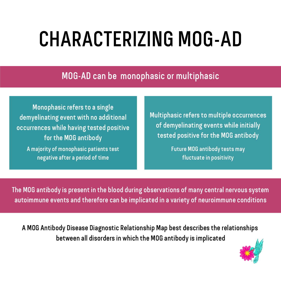# CHARACTERIZING MOG-AD

MOG-AD can be monophasic or multiphasic

Monophasic refers to a single demyelinating event with no additional occurrences while having tested positive for the MOG antibody A majority of monophasic patients test negative after a period of time

Multiphasic refers to multiple occurrences of demyelinating events while initially tested positive for the MOG antibody

> Future MOG antibody tests may fluctuate in positivity

The MOG antibody is present in the blood during observations of many central nervous system autoimmune events and therefore can be implicated in a variety of neuroimmune conditions

A MOG Antibody Disease Diagnostic Relationship Map best describes the relationships between all disorders in which the MOG antibody is implicated

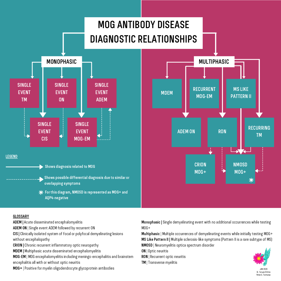

ADEM | Acute disseminated encephalomyelitis

ADEM ON | Single event ADEM followed by recurrent ON

CIS | Clinically isolated system of focal or polyfocal demyelinating lesions without encephalopathy

CRION | Chronic recurrent inflammatory optic neuropathy

MDEM | Multiphasic acute disseminated encephalomyelitis

MOG-EM | MOG encephalomyelitis including meningo-encephalitis and brainstem encephalitis all with or without optic neuritis

MOG+ | Positive for myelin oligodendrocyte glycoprotein antibodies

Monophasic | Single demyelinating event with no additional occurrences while testing MOG+

Multiphasic | Multiple occurrences of demyelinating events while initially testing MOG+ MS Like Pattern II | Multiple sclerosis-like symptoms (Pattern II is a rare subtype of MS) NMOSD | Neuromyelitis optica spectrum disorder

ON | Optic neuritis

RON | Recurrent optic neuritis

TM | Transverse myelitis



JAN 2020 Dr. Tanuja Chitnis Peter C. Fontanez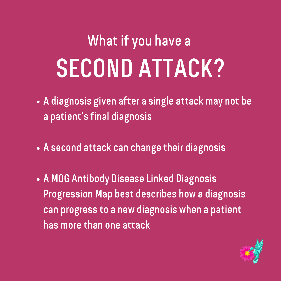# What if you have a SECOND ATTACK?

- A diagnosis given after a single attack may not be A diagnosis given after a sil<br>a patient's final diagnosis
- A second attack can change their diagnosis
- A MOG Antibody Disease Linked Diagnosis Progression Map best describes how a diagnosis can progress to a new diagnosis when a patient has more than one attack

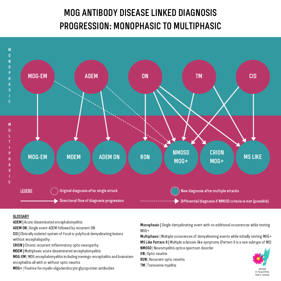### MOG ANTIBODY DISEASE LINKED DIAGNOSIS PROGRESSION: MONOPHASIC TO MULTIPHASIC



### **GLOSSARY**

ADEM | Acute disseminated encephalomyelitis

ADEM ON | Single event ADEM followed by recurrent ON

CIS | Clinically isolated system of focal or polyfocal demyelinating lesions without encephalopathy

CRION | Chronic recurrent inflammatory optic neuropathy

MDEM | Multiphasic acute disseminated encephalomyelitis

MOG-EM | MOG encephalomyelitis including meningo-encephalitis and brainstem encephalitis all with or without optic neuritis

MOG+ | Positive for myelin oligodendrocyte glycoprotein antibodies

Monophasic | Single demyelinating event with no additional occurrences while testing MOG+

Multiphasic | Multiple occurrences of demyelinating events while initially testing MOG+ MS Like Pattern II | Multiple sclerosis-like symptoms (Pattern II is a rare subtype of MS) NMOSD | Neuromyelitis optica spectrum disorder

ON | Optic neuritis

- RON | Recurrent optic neuritis
- TM | Transverse myelitis



Peter C. Fontanez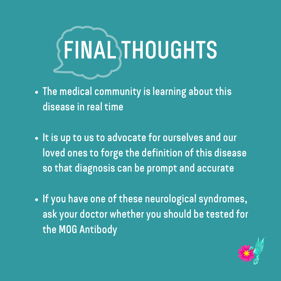

- The medical community is learning about this disease in real time
- It is up to us to advocate for ourselves and our loved ones to forge the definition of this disease so that diagnosis can be prompt and accurate
- If you have one of these neurological syndromes, ask your doctor whether you should be tested for the MOG Antibody

![](_page_6_Picture_4.jpeg)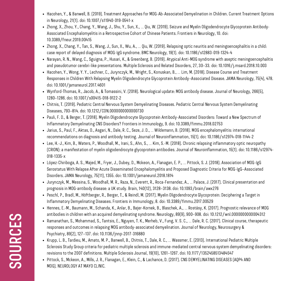- Hacohen, Y., & Banwell, B. (2019). Treatment Approaches for MOG-Ab-Associated Demyelination in Children. Current Treatment Options in Neurology, 21(1). doi: 10.1007/s11940-019-0541-x
- Zhong, X., Zhou, Y., Chang, Y., Wang, J., Shu, Y., Sun, X., ... Qiu, W. (2019). Seizure and Myelin Oligodendrocyte Glycoprotein Antibody-Associated Encephalomyelitis in a Retrospective Cohort of Chinese Patients. Frontiers in Neurology, 10. doi: 10.3389/fneur.2019.00415
- Zhong, X., Chang, Y., Tan, S., Wang, J., Sun, X., Wu, A., ... Qiu, W. (2019). Relapsing optic neuritis and meningoencephalitis in a child: case report of delayed diagnosis of MOG-IgG syndrome. BMC Neurology, 19(1). doi: 10.1186/s12883-019-1324-4
- Narayan, R. N., Wang, C., Sguigna, P., Husari, K., & Greenberg, B. (2019). Atypical Anti-MOG syndrome with aseptic meningoencephalitis and pseudotumor cerebri-like presentations. Multiple Sclerosis and Related Disorders, 27, 30–33. doi: 10.1016/j.msard.2018.10.003
- Hacohen, Y., Wong, Y. Y., Lechner, C., Jurynczyk, M., Wright, S., Konuskan, B., … Lim, M. (2018). Disease Course and Treatment Responses in Children With Relapsing Myelin Oligodendrocyte Glycoprotein Antibody–Associated Disease. JAMA Neurology, 75(4), 478. doi: 10.1001/jamaneurol.2017.4601
- Wynford-Thomas, R., Jacob, A., & Tomassini, V. (2018). Neurological update: MOG antibody disease. Journal of Neurology, 266(5), 1280–1286. doi: 10.1007/s00415-018-9122-2
- Chitnis, T. (2019). Pediatric Central Nervous System Demyelinating Diseases. Pediatric Central Nervous System Demyelinating Diseases, 793–814. doi: 10.1212/CON.0000000000000730
- Pauli, F. D., & Berger, T. (2018). Myelin Oligodendrocyte Glycoprotein Antibody-Associated Disorders: Toward a New Spectrum of Inflammatory Demyelinating CNS Disorders? Frontiers in Immunology, 9. doi: 10.3389/fimmu.2018.02753
- Jarius, S., Paul, F., Aktas, O., Asgari, N., Dale, R. C., Seze, J. D., … Wildemann, B. (2018). MOG encephalomyelitis: international recommendations on diagnosis and antibody testing. Journal of Neuroinflammation, 15(1). doi: 10.1186/s12974-018-1144-2
- Lee, H.-J., Kim, B., Waters, P., Woodhall, M., Irani, S., Ahn, S., … Kim, S.-M. (2018). Chronic relapsing inflammatory optic neuropathy (CRION): a manifestation of myelin oligodendrocyte glycoprotein antibodies. Journal of Neuroinflammation, 15(1). doi: 10.1186/s12974- 018-1335-x
- López-Chiriboga, A. S., Majed, M., Fryer, J., Dubey, D., Mckeon, A., Flanagan, E. P., … Pittock, S. J. (2018). Association of MOG-IgG Serostatus With Relapse After Acute Disseminated Encephalomyelitis and Proposed Diagnostic Criteria for MOG-IgG–Associated Disorders. JAMA Neurology, 75(11), 1355. doi: 10.1001/jamaneurol.2018.1814
- Jurynczyk, M., Messina, S., Woodhall, M. R., Raza, N., Everett, R., Roca-Fernandez, A., … Palace, J. (2017). Clinical presentation and prognosis in MOG-antibody disease: a UK study. Brain, 140(12), 3128–3138. doi: 10.1093/brain/awx276
- Peschl, P., Bradl, M., Höftberger, R., Berger, T., & Reindl, M. (2017). Myelin Oligodendrocyte Glycoprotein: Deciphering a Target in Inflammatory Demyelinating Diseases. Frontiers in Immunology, 8. doi: 10.3389/fimmu.2017.00529
- Hennes, E.-M., Baumann, M., Schanda, K., Anlar, B., Bajer-Kornek, B., Blaschek, A., … Rostásy, K. (2017). Prognostic relevance of MOG antibodies in children with an acquired demyelinating syndrome. Neurology, 89(9), 900–908. doi: 10.1212/wnl.0000000000004312
- Ramanathan, S., Mohammad, S., Tantsis, E., Nguyen, T. K., Merheb, V., Fung, V. S. C., … Dale, R. C. (2017). Clinical course, therapeutic responses and outcomes in relapsing MOG antibody-associated demyelination. Journal of Neurology, Neurosurgery & Psychiatry, 89(2), 127–137. doi: 10.1136/jnnp-2017-316880
- Krupp, L. B., Tardieu, M., Amato, M. P., Banwell, B., Chitnis, T., Dale, R. C., ... Wassmer, E. (2013). International Pediatric Multiple Sclerosis Study Group criteria for pediatric multiple sclerosis and immune-mediated central nervous system demyelinating disorders: revisions to the 2007 definitions. Multiple Sclerosis Journal, 19(10), 1261–1267. doi: 10.1177/1352458513484547
- Pittock, S., Mckeon, A., Mills, J. R., Flanagan, E., Klein, C., & Lachance, D. (2017). CNS DEMYELINATING DISEASES (AQP4 AND MOG). NEUROLOGY AT MAYO CLINIC.